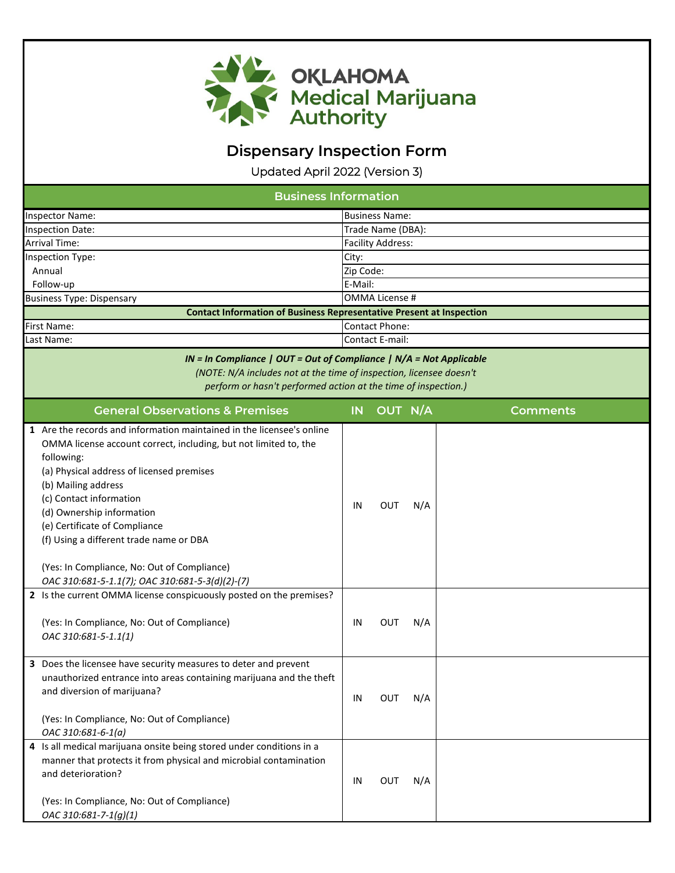

## **Dispensary Inspection Form**

Updated April 2022 (Version 3)

| <b>Business Information</b>                                                                                                                                                                                                                                                                                                                                                                                                                                                                                                                                                                                     |                   |                          |            |                 |  |  |
|-----------------------------------------------------------------------------------------------------------------------------------------------------------------------------------------------------------------------------------------------------------------------------------------------------------------------------------------------------------------------------------------------------------------------------------------------------------------------------------------------------------------------------------------------------------------------------------------------------------------|-------------------|--------------------------|------------|-----------------|--|--|
| Inspector Name:                                                                                                                                                                                                                                                                                                                                                                                                                                                                                                                                                                                                 |                   | <b>Business Name:</b>    |            |                 |  |  |
| <b>Inspection Date:</b>                                                                                                                                                                                                                                                                                                                                                                                                                                                                                                                                                                                         | Trade Name (DBA): |                          |            |                 |  |  |
| <b>Arrival Time:</b>                                                                                                                                                                                                                                                                                                                                                                                                                                                                                                                                                                                            |                   | <b>Facility Address:</b> |            |                 |  |  |
| Inspection Type:                                                                                                                                                                                                                                                                                                                                                                                                                                                                                                                                                                                                | City:             |                          |            |                 |  |  |
| Annual                                                                                                                                                                                                                                                                                                                                                                                                                                                                                                                                                                                                          | Zip Code:         |                          |            |                 |  |  |
| Follow-up                                                                                                                                                                                                                                                                                                                                                                                                                                                                                                                                                                                                       | E-Mail:           |                          |            |                 |  |  |
| <b>Business Type: Dispensary</b>                                                                                                                                                                                                                                                                                                                                                                                                                                                                                                                                                                                |                   | <b>OMMA License #</b>    |            |                 |  |  |
| <b>Contact Information of Business Representative Present at Inspection</b>                                                                                                                                                                                                                                                                                                                                                                                                                                                                                                                                     |                   |                          |            |                 |  |  |
| First Name:                                                                                                                                                                                                                                                                                                                                                                                                                                                                                                                                                                                                     |                   | <b>Contact Phone:</b>    |            |                 |  |  |
| Last Name:                                                                                                                                                                                                                                                                                                                                                                                                                                                                                                                                                                                                      |                   | Contact E-mail:          |            |                 |  |  |
| $IN = In$ Compliance   OUT = Out of Compliance   N/A = Not Applicable<br>(NOTE: N/A includes not at the time of inspection, licensee doesn't<br>perform or hasn't performed action at the time of inspection.)                                                                                                                                                                                                                                                                                                                                                                                                  |                   |                          |            |                 |  |  |
| <b>General Observations &amp; Premises</b>                                                                                                                                                                                                                                                                                                                                                                                                                                                                                                                                                                      | <b>IN</b>         | OUT N/A                  |            | <b>Comments</b> |  |  |
| 1 Are the records and information maintained in the licensee's online<br>OMMA license account correct, including, but not limited to, the<br>following:<br>(a) Physical address of licensed premises<br>(b) Mailing address<br>(c) Contact information<br>(d) Ownership information<br>(e) Certificate of Compliance<br>(f) Using a different trade name or DBA<br>(Yes: In Compliance, No: Out of Compliance)<br>OAC 310:681-5-1.1(7); OAC 310:681-5-3(d)(2)-(7)<br>2 Is the current OMMA license conspicuously posted on the premises?<br>(Yes: In Compliance, No: Out of Compliance)<br>OAC 310:681-5-1.1(1) | IN<br>IN          | <b>OUT</b><br><b>OUT</b> | N/A<br>N/A |                 |  |  |
| 3 Does the licensee have security measures to deter and prevent<br>unauthorized entrance into areas containing marijuana and the theft<br>and diversion of marijuana?<br>(Yes: In Compliance, No: Out of Compliance)<br>OAC 310:681-6-1(a)<br>4 Is all medical marijuana onsite being stored under conditions in a<br>manner that protects it from physical and microbial contamination<br>and deterioration?                                                                                                                                                                                                   | IN                | OUT                      | N/A        |                 |  |  |
| (Yes: In Compliance, No: Out of Compliance)<br>OAC 310:681-7-1(g)(1)                                                                                                                                                                                                                                                                                                                                                                                                                                                                                                                                            | IN                | OUT                      | N/A        |                 |  |  |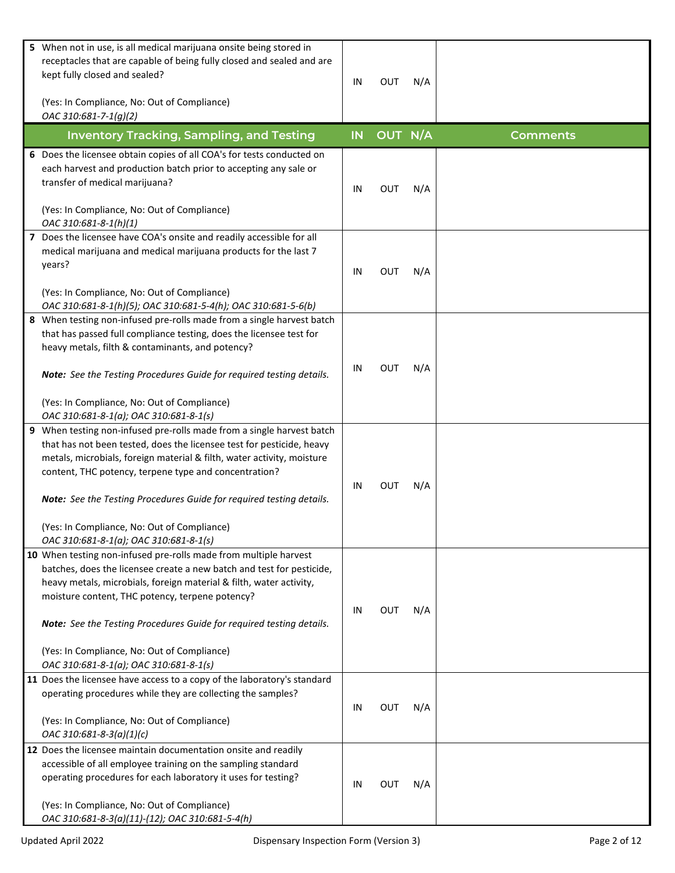| 5 When not in use, is all medical marijuana onsite being stored in<br>receptacles that are capable of being fully closed and sealed and are<br>kept fully closed and sealed?<br>(Yes: In Compliance, No: Out of Compliance)<br>OAC 310:681-7-1(g)(2)                                                                                                                                                                                               | IN | <b>OUT</b> | N/A |                 |
|----------------------------------------------------------------------------------------------------------------------------------------------------------------------------------------------------------------------------------------------------------------------------------------------------------------------------------------------------------------------------------------------------------------------------------------------------|----|------------|-----|-----------------|
| <b>Inventory Tracking, Sampling, and Testing</b>                                                                                                                                                                                                                                                                                                                                                                                                   | IN | OUT N/A    |     | <b>Comments</b> |
| 6 Does the licensee obtain copies of all COA's for tests conducted on<br>each harvest and production batch prior to accepting any sale or<br>transfer of medical marijuana?<br>(Yes: In Compliance, No: Out of Compliance)                                                                                                                                                                                                                         | IN | <b>OUT</b> | N/A |                 |
| OAC 310:681-8-1(h)(1)<br>Does the licensee have COA's onsite and readily accessible for all<br>medical marijuana and medical marijuana products for the last 7<br>years?<br>(Yes: In Compliance, No: Out of Compliance)<br>OAC 310:681-8-1(h)(5); OAC 310:681-5-4(h); OAC 310:681-5-6(b)                                                                                                                                                           | IN | <b>OUT</b> | N/A |                 |
| 8 When testing non-infused pre-rolls made from a single harvest batch<br>that has passed full compliance testing, does the licensee test for<br>heavy metals, filth & contaminants, and potency?<br>Note: See the Testing Procedures Guide for required testing details.<br>(Yes: In Compliance, No: Out of Compliance)<br>OAC 310:681-8-1(a); OAC 310:681-8-1(s)                                                                                  | IN | <b>OUT</b> | N/A |                 |
| 9 When testing non-infused pre-rolls made from a single harvest batch<br>that has not been tested, does the licensee test for pesticide, heavy<br>metals, microbials, foreign material & filth, water activity, moisture<br>content, THC potency, terpene type and concentration?<br>Note: See the Testing Procedures Guide for required testing details.<br>(Yes: In Compliance, No: Out of Compliance)<br>OAC 310:681-8-1(a); OAC 310:681-8-1(s) | IN | <b>OUT</b> | N/A |                 |
| 10 When testing non-infused pre-rolls made from multiple harvest<br>batches, does the licensee create a new batch and test for pesticide,<br>heavy metals, microbials, foreign material & filth, water activity,<br>moisture content, THC potency, terpene potency?<br>Note: See the Testing Procedures Guide for required testing details.<br>(Yes: In Compliance, No: Out of Compliance)<br>OAC 310:681-8-1(a); OAC 310:681-8-1(s)               | IN | <b>OUT</b> | N/A |                 |
| 11 Does the licensee have access to a copy of the laboratory's standard<br>operating procedures while they are collecting the samples?<br>(Yes: In Compliance, No: Out of Compliance)<br>OAC 310:681-8-3(a)(1)(c)                                                                                                                                                                                                                                  | IN | <b>OUT</b> | N/A |                 |
| 12 Does the licensee maintain documentation onsite and readily<br>accessible of all employee training on the sampling standard<br>operating procedures for each laboratory it uses for testing?<br>(Yes: In Compliance, No: Out of Compliance)<br>OAC 310:681-8-3(a)(11)-(12); OAC 310:681-5-4(h)                                                                                                                                                  | IN | OUT        | N/A |                 |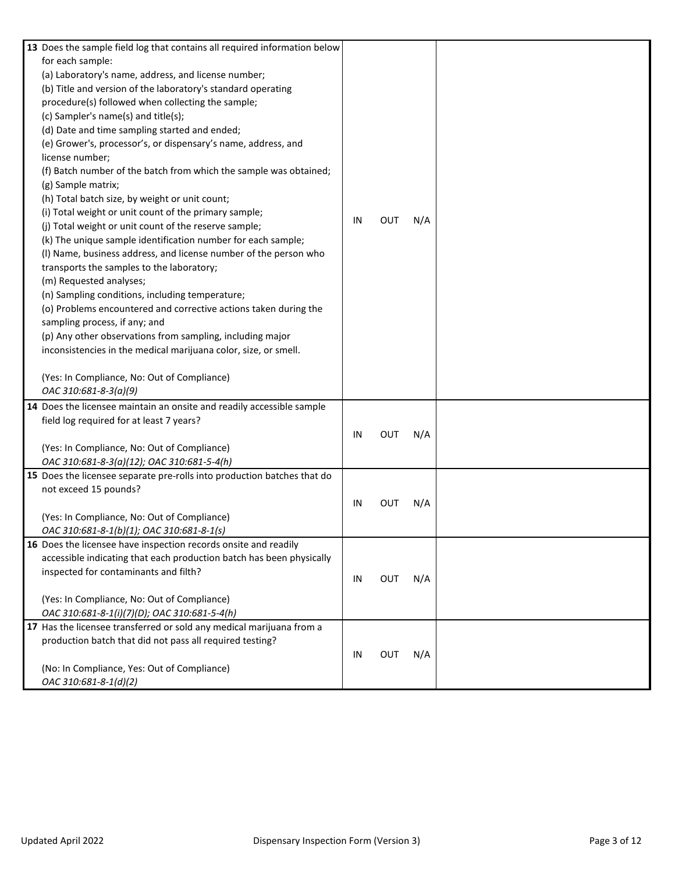| 13 Does the sample field log that contains all required information below |    |            |     |  |
|---------------------------------------------------------------------------|----|------------|-----|--|
| for each sample:                                                          |    |            |     |  |
| (a) Laboratory's name, address, and license number;                       |    |            |     |  |
| (b) Title and version of the laboratory's standard operating              |    |            |     |  |
| procedure(s) followed when collecting the sample;                         |    |            |     |  |
| (c) Sampler's name(s) and title(s);                                       |    |            |     |  |
| (d) Date and time sampling started and ended;                             |    |            |     |  |
| (e) Grower's, processor's, or dispensary's name, address, and             |    |            |     |  |
| license number;                                                           |    |            |     |  |
| (f) Batch number of the batch from which the sample was obtained;         |    |            |     |  |
| (g) Sample matrix;                                                        |    |            |     |  |
| (h) Total batch size, by weight or unit count;                            |    |            |     |  |
| (i) Total weight or unit count of the primary sample;                     |    |            |     |  |
| (j) Total weight or unit count of the reserve sample;                     | IN | <b>OUT</b> | N/A |  |
| (k) The unique sample identification number for each sample;              |    |            |     |  |
| (I) Name, business address, and license number of the person who          |    |            |     |  |
| transports the samples to the laboratory;                                 |    |            |     |  |
| (m) Requested analyses;                                                   |    |            |     |  |
| (n) Sampling conditions, including temperature;                           |    |            |     |  |
| (o) Problems encountered and corrective actions taken during the          |    |            |     |  |
| sampling process, if any; and                                             |    |            |     |  |
| (p) Any other observations from sampling, including major                 |    |            |     |  |
| inconsistencies in the medical marijuana color, size, or smell.           |    |            |     |  |
|                                                                           |    |            |     |  |
| (Yes: In Compliance, No: Out of Compliance)                               |    |            |     |  |
| OAC 310:681-8-3(a)(9)                                                     |    |            |     |  |
| 14 Does the licensee maintain an onsite and readily accessible sample     |    |            |     |  |
| field log required for at least 7 years?                                  |    |            |     |  |
|                                                                           | IN | OUT        | N/A |  |
| (Yes: In Compliance, No: Out of Compliance)                               |    |            |     |  |
| OAC 310:681-8-3(a)(12); OAC 310:681-5-4(h)                                |    |            |     |  |
| 15 Does the licensee separate pre-rolls into production batches that do   |    |            |     |  |
| not exceed 15 pounds?                                                     |    | <b>OUT</b> |     |  |
| (Yes: In Compliance, No: Out of Compliance)                               | IN |            | N/A |  |
| OAC 310:681-8-1(b)(1); OAC 310:681-8-1(s)                                 |    |            |     |  |
| 16 Does the licensee have inspection records onsite and readily           |    |            |     |  |
| accessible indicating that each production batch has been physically      |    |            |     |  |
| inspected for contaminants and filth?                                     |    |            |     |  |
|                                                                           | IN | OUT        | N/A |  |
| (Yes: In Compliance, No: Out of Compliance)                               |    |            |     |  |
| OAC 310:681-8-1(i)(7)(D); OAC 310:681-5-4(h)                              |    |            |     |  |
| 17 Has the licensee transferred or sold any medical marijuana from a      |    |            |     |  |
| production batch that did not pass all required testing?                  |    |            |     |  |
|                                                                           | IN | OUT        | N/A |  |
| (No: In Compliance, Yes: Out of Compliance)                               |    |            |     |  |
| OAC 310:681-8-1(d)(2)                                                     |    |            |     |  |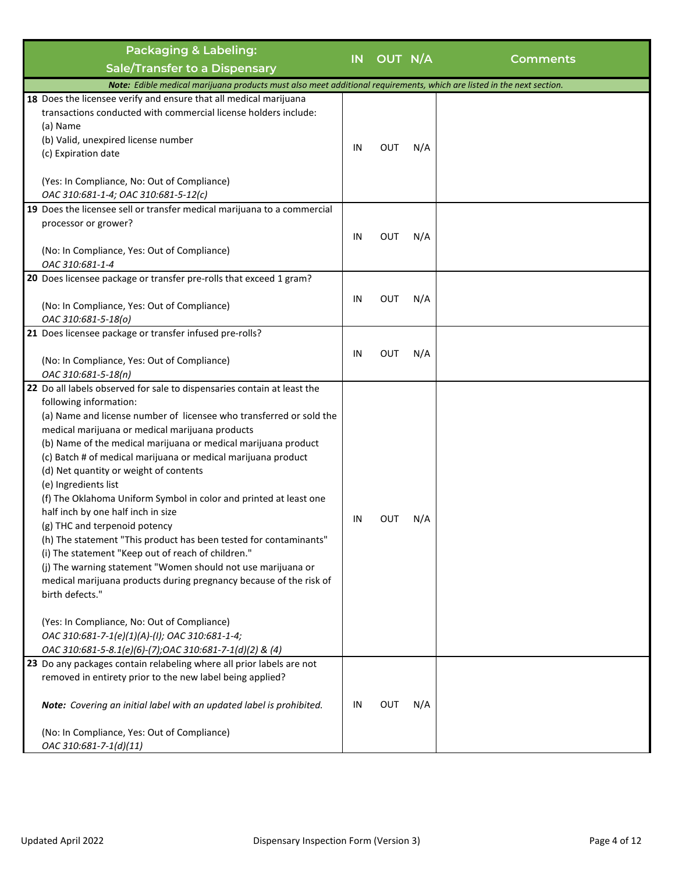| <b>Packaging &amp; Labeling:</b><br><b>Sale/Transfer to a Dispensary</b>                                                                                                                                                                                                                                                                                                                                                                                                                                                                                                                                                                                                                                                                                                                                                                                                                                                                                                                                                     | <b>IN</b> | OUT N/A    |     | <b>Comments</b> |
|------------------------------------------------------------------------------------------------------------------------------------------------------------------------------------------------------------------------------------------------------------------------------------------------------------------------------------------------------------------------------------------------------------------------------------------------------------------------------------------------------------------------------------------------------------------------------------------------------------------------------------------------------------------------------------------------------------------------------------------------------------------------------------------------------------------------------------------------------------------------------------------------------------------------------------------------------------------------------------------------------------------------------|-----------|------------|-----|-----------------|
| Note: Edible medical marijuana products must also meet additional requirements, which are listed in the next section.                                                                                                                                                                                                                                                                                                                                                                                                                                                                                                                                                                                                                                                                                                                                                                                                                                                                                                        |           |            |     |                 |
| 18 Does the licensee verify and ensure that all medical marijuana<br>transactions conducted with commercial license holders include:<br>(a) Name<br>(b) Valid, unexpired license number<br>(c) Expiration date                                                                                                                                                                                                                                                                                                                                                                                                                                                                                                                                                                                                                                                                                                                                                                                                               | IN        | <b>OUT</b> | N/A |                 |
| (Yes: In Compliance, No: Out of Compliance)<br>OAC 310:681-1-4; OAC 310:681-5-12(c)                                                                                                                                                                                                                                                                                                                                                                                                                                                                                                                                                                                                                                                                                                                                                                                                                                                                                                                                          |           |            |     |                 |
| 19 Does the licensee sell or transfer medical marijuana to a commercial<br>processor or grower?<br>(No: In Compliance, Yes: Out of Compliance)<br>OAC 310:681-1-4                                                                                                                                                                                                                                                                                                                                                                                                                                                                                                                                                                                                                                                                                                                                                                                                                                                            | IN        | <b>OUT</b> | N/A |                 |
| 20 Does licensee package or transfer pre-rolls that exceed 1 gram?<br>(No: In Compliance, Yes: Out of Compliance)<br>OAC 310:681-5-18(o)                                                                                                                                                                                                                                                                                                                                                                                                                                                                                                                                                                                                                                                                                                                                                                                                                                                                                     | IN        | <b>OUT</b> | N/A |                 |
| 21 Does licensee package or transfer infused pre-rolls?<br>(No: In Compliance, Yes: Out of Compliance)<br>OAC 310:681-5-18(n)                                                                                                                                                                                                                                                                                                                                                                                                                                                                                                                                                                                                                                                                                                                                                                                                                                                                                                | IN        | <b>OUT</b> | N/A |                 |
| 22 Do all labels observed for sale to dispensaries contain at least the<br>following information:<br>(a) Name and license number of licensee who transferred or sold the<br>medical marijuana or medical marijuana products<br>(b) Name of the medical marijuana or medical marijuana product<br>(c) Batch # of medical marijuana or medical marijuana product<br>(d) Net quantity or weight of contents<br>(e) Ingredients list<br>(f) The Oklahoma Uniform Symbol in color and printed at least one<br>half inch by one half inch in size<br>(g) THC and terpenoid potency<br>(h) The statement "This product has been tested for contaminants"<br>(i) The statement "Keep out of reach of children."<br>(j) The warning statement "Women should not use marijuana or<br>medical marijuana products during pregnancy because of the risk of<br>birth defects."<br>(Yes: In Compliance, No: Out of Compliance)<br>OAC 310:681-7-1(e)(1)(A)-(I); OAC 310:681-1-4;<br>OAC 310:681-5-8.1(e)(6)-(7);OAC 310:681-7-1(d)(2) & (4) | IN        | Ουτ        | N/A |                 |
| 23 Do any packages contain relabeling where all prior labels are not<br>removed in entirety prior to the new label being applied?<br>Note: Covering an initial label with an updated label is prohibited.<br>(No: In Compliance, Yes: Out of Compliance)<br>OAC 310:681-7-1(d)(11)                                                                                                                                                                                                                                                                                                                                                                                                                                                                                                                                                                                                                                                                                                                                           | IN        | <b>OUT</b> | N/A |                 |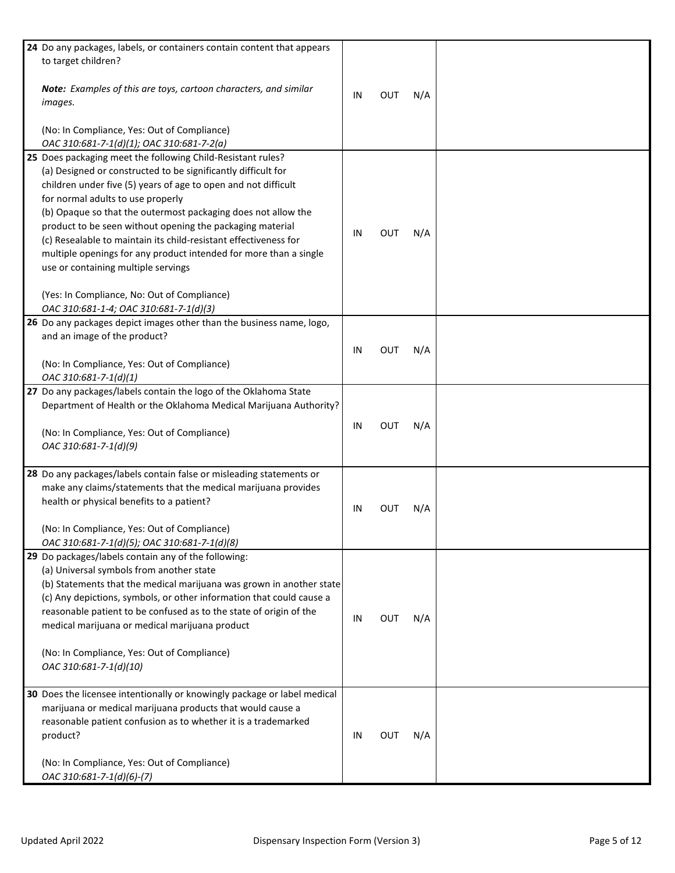| 24 Do any packages, labels, or containers contain content that appears<br>to target children?                                                                                                                                                                                                                                                                                                                                                                                      |    |            |     |  |
|------------------------------------------------------------------------------------------------------------------------------------------------------------------------------------------------------------------------------------------------------------------------------------------------------------------------------------------------------------------------------------------------------------------------------------------------------------------------------------|----|------------|-----|--|
| Note: Examples of this are toys, cartoon characters, and similar<br>images.                                                                                                                                                                                                                                                                                                                                                                                                        | IN | <b>OUT</b> | N/A |  |
| (No: In Compliance, Yes: Out of Compliance)<br>OAC 310:681-7-1(d)(1); OAC 310:681-7-2(a)                                                                                                                                                                                                                                                                                                                                                                                           |    |            |     |  |
| 25 Does packaging meet the following Child-Resistant rules?                                                                                                                                                                                                                                                                                                                                                                                                                        |    |            |     |  |
| (a) Designed or constructed to be significantly difficult for<br>children under five (5) years of age to open and not difficult<br>for normal adults to use properly<br>(b) Opaque so that the outermost packaging does not allow the<br>product to be seen without opening the packaging material<br>(c) Resealable to maintain its child-resistant effectiveness for<br>multiple openings for any product intended for more than a single<br>use or containing multiple servings | IN | <b>OUT</b> | N/A |  |
| (Yes: In Compliance, No: Out of Compliance)                                                                                                                                                                                                                                                                                                                                                                                                                                        |    |            |     |  |
| OAC 310:681-1-4; OAC 310:681-7-1(d)(3)<br>26 Do any packages depict images other than the business name, logo,                                                                                                                                                                                                                                                                                                                                                                     |    |            |     |  |
| and an image of the product?                                                                                                                                                                                                                                                                                                                                                                                                                                                       | IN | <b>OUT</b> | N/A |  |
| (No: In Compliance, Yes: Out of Compliance)<br>OAC 310:681-7-1(d)(1)                                                                                                                                                                                                                                                                                                                                                                                                               |    |            |     |  |
| 27 Do any packages/labels contain the logo of the Oklahoma State<br>Department of Health or the Oklahoma Medical Marijuana Authority?                                                                                                                                                                                                                                                                                                                                              |    |            |     |  |
| (No: In Compliance, Yes: Out of Compliance)<br>OAC 310:681-7-1(d)(9)                                                                                                                                                                                                                                                                                                                                                                                                               | IN | <b>OUT</b> | N/A |  |
| 28 Do any packages/labels contain false or misleading statements or                                                                                                                                                                                                                                                                                                                                                                                                                |    |            |     |  |
| make any claims/statements that the medical marijuana provides<br>health or physical benefits to a patient?                                                                                                                                                                                                                                                                                                                                                                        | ΙN | OUT        | N/A |  |
| (No: In Compliance, Yes: Out of Compliance)<br>OAC 310:681-7-1(d)(5); OAC 310:681-7-1(d)(8)                                                                                                                                                                                                                                                                                                                                                                                        |    |            |     |  |
| 29 Do packages/labels contain any of the following:                                                                                                                                                                                                                                                                                                                                                                                                                                |    |            |     |  |
| (a) Universal symbols from another state<br>(b) Statements that the medical marijuana was grown in another state<br>(c) Any depictions, symbols, or other information that could cause a<br>reasonable patient to be confused as to the state of origin of the<br>medical marijuana or medical marijuana product                                                                                                                                                                   | IN | <b>OUT</b> | N/A |  |
| (No: In Compliance, Yes: Out of Compliance)<br>OAC 310:681-7-1(d)(10)                                                                                                                                                                                                                                                                                                                                                                                                              |    |            |     |  |
| 30 Does the licensee intentionally or knowingly package or label medical<br>marijuana or medical marijuana products that would cause a<br>reasonable patient confusion as to whether it is a trademarked<br>product?                                                                                                                                                                                                                                                               | IN | OUT        | N/A |  |
| (No: In Compliance, Yes: Out of Compliance)<br>OAC 310:681-7-1(d)(6)-(7)                                                                                                                                                                                                                                                                                                                                                                                                           |    |            |     |  |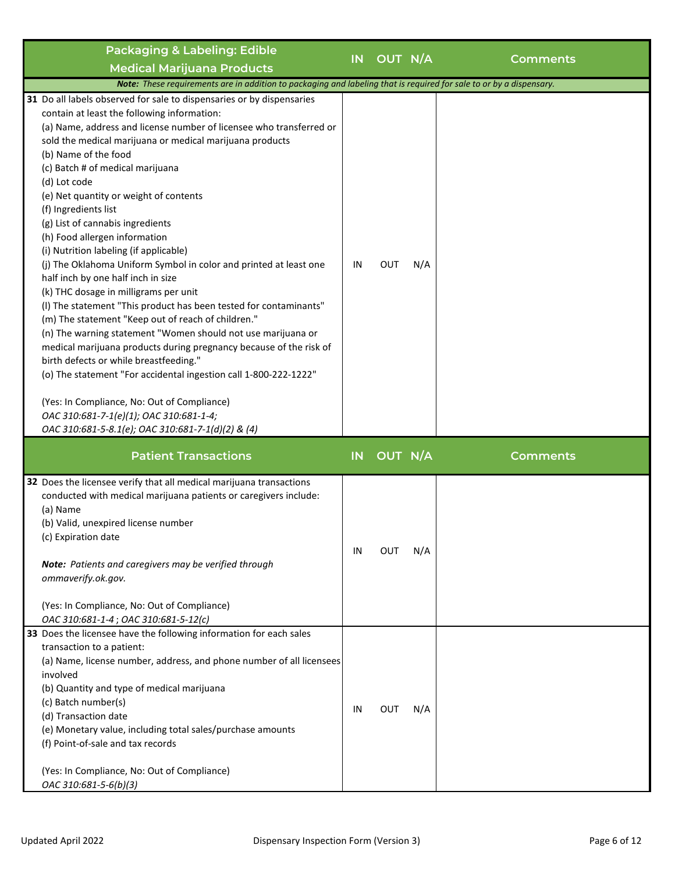| <b>Packaging &amp; Labeling: Edible</b>                                                                                                                                                                                                                                                                                                                                                                                                                                                                                                                                                                                                                                                                                                                                                                                                                                                                                                                                                                                                                                                                                                                                                                | <b>IN</b> |            | OUT N/A |                 |
|--------------------------------------------------------------------------------------------------------------------------------------------------------------------------------------------------------------------------------------------------------------------------------------------------------------------------------------------------------------------------------------------------------------------------------------------------------------------------------------------------------------------------------------------------------------------------------------------------------------------------------------------------------------------------------------------------------------------------------------------------------------------------------------------------------------------------------------------------------------------------------------------------------------------------------------------------------------------------------------------------------------------------------------------------------------------------------------------------------------------------------------------------------------------------------------------------------|-----------|------------|---------|-----------------|
| <b>Medical Marijuana Products</b>                                                                                                                                                                                                                                                                                                                                                                                                                                                                                                                                                                                                                                                                                                                                                                                                                                                                                                                                                                                                                                                                                                                                                                      |           |            |         | <b>Comments</b> |
| Note: These requirements are in addition to packaging and labeling that is required for sale to or by a dispensary.                                                                                                                                                                                                                                                                                                                                                                                                                                                                                                                                                                                                                                                                                                                                                                                                                                                                                                                                                                                                                                                                                    |           |            |         |                 |
| 31 Do all labels observed for sale to dispensaries or by dispensaries<br>contain at least the following information:<br>(a) Name, address and license number of licensee who transferred or<br>sold the medical marijuana or medical marijuana products<br>(b) Name of the food<br>(c) Batch # of medical marijuana<br>(d) Lot code<br>(e) Net quantity or weight of contents<br>(f) Ingredients list<br>(g) List of cannabis ingredients<br>(h) Food allergen information<br>(i) Nutrition labeling (if applicable)<br>(j) The Oklahoma Uniform Symbol in color and printed at least one<br>half inch by one half inch in size<br>(k) THC dosage in milligrams per unit<br>(I) The statement "This product has been tested for contaminants"<br>(m) The statement "Keep out of reach of children."<br>(n) The warning statement "Women should not use marijuana or<br>medical marijuana products during pregnancy because of the risk of<br>birth defects or while breastfeeding."<br>(o) The statement "For accidental ingestion call 1-800-222-1222"<br>(Yes: In Compliance, No: Out of Compliance)<br>OAC 310:681-7-1(e)(1); OAC 310:681-1-4;<br>OAC 310:681-5-8.1(e); OAC 310:681-7-1(d)(2) & (4) | IN        | <b>OUT</b> | N/A     |                 |
| <b>Patient Transactions</b>                                                                                                                                                                                                                                                                                                                                                                                                                                                                                                                                                                                                                                                                                                                                                                                                                                                                                                                                                                                                                                                                                                                                                                            | <b>IN</b> | OUT N/A    |         | <b>Comments</b> |
| 32 Does the licensee verify that all medical marijuana transactions<br>conducted with medical marijuana patients or caregivers include:<br>(a) Name<br>(b) Valid, unexpired license number<br>(c) Expiration date<br>Note: Patients and caregivers may be verified through<br>ommaverify.ok.gov.<br>(Yes: In Compliance, No: Out of Compliance)                                                                                                                                                                                                                                                                                                                                                                                                                                                                                                                                                                                                                                                                                                                                                                                                                                                        | IN        | ουτ        | N/A     |                 |
| OAC 310:681-1-4; OAC 310:681-5-12(c)<br>33 Does the licensee have the following information for each sales<br>transaction to a patient:<br>(a) Name, license number, address, and phone number of all licensees<br>involved<br>(b) Quantity and type of medical marijuana<br>(c) Batch number(s)<br>(d) Transaction date<br>(e) Monetary value, including total sales/purchase amounts<br>(f) Point-of-sale and tax records<br>(Yes: In Compliance, No: Out of Compliance)<br>OAC 310:681-5-6(b)(3)                                                                                                                                                                                                                                                                                                                                                                                                                                                                                                                                                                                                                                                                                                    | IN        | <b>OUT</b> | N/A     |                 |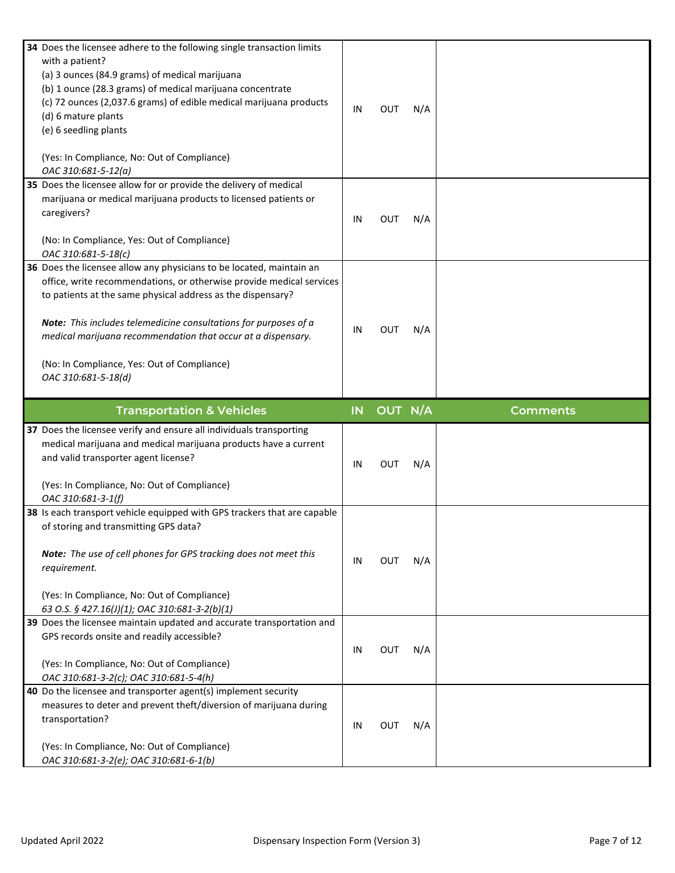| 34 Does the licensee adhere to the following single transaction limits                |    |            |     |                 |
|---------------------------------------------------------------------------------------|----|------------|-----|-----------------|
| with a patient?                                                                       |    |            |     |                 |
| (a) 3 ounces (84.9 grams) of medical marijuana                                        |    |            |     |                 |
| (b) 1 ounce (28.3 grams) of medical marijuana concentrate                             |    |            |     |                 |
| (c) 72 ounces (2,037.6 grams) of edible medical marijuana products                    |    |            |     |                 |
| (d) 6 mature plants                                                                   | IN | <b>OUT</b> | N/A |                 |
| (e) 6 seedling plants                                                                 |    |            |     |                 |
|                                                                                       |    |            |     |                 |
|                                                                                       |    |            |     |                 |
| (Yes: In Compliance, No: Out of Compliance)                                           |    |            |     |                 |
| OAC 310:681-5-12(a)                                                                   |    |            |     |                 |
| 35 Does the licensee allow for or provide the delivery of medical                     |    |            |     |                 |
| marijuana or medical marijuana products to licensed patients or                       |    |            |     |                 |
| caregivers?                                                                           |    |            |     |                 |
|                                                                                       | IN | <b>OUT</b> | N/A |                 |
| (No: In Compliance, Yes: Out of Compliance)                                           |    |            |     |                 |
|                                                                                       |    |            |     |                 |
| OAC 310:681-5-18(c)                                                                   |    |            |     |                 |
| 36 Does the licensee allow any physicians to be located, maintain an                  |    |            |     |                 |
| office, write recommendations, or otherwise provide medical services                  |    |            |     |                 |
| to patients at the same physical address as the dispensary?                           |    |            |     |                 |
|                                                                                       |    |            |     |                 |
| Note: This includes telemedicine consultations for purposes of a                      |    |            |     |                 |
| medical marijuana recommendation that occur at a dispensary.                          | IN | <b>OUT</b> | N/A |                 |
|                                                                                       |    |            |     |                 |
|                                                                                       |    |            |     |                 |
| (No: In Compliance, Yes: Out of Compliance)                                           |    |            |     |                 |
| OAC 310:681-5-18(d)                                                                   |    |            |     |                 |
|                                                                                       |    |            |     |                 |
|                                                                                       |    |            |     |                 |
| <b>Transportation &amp; Vehicles</b>                                                  | IN | OUT N/A    |     | <b>Comments</b> |
|                                                                                       |    |            |     |                 |
| 37 Does the licensee verify and ensure all individuals transporting                   |    |            |     |                 |
| medical marijuana and medical marijuana products have a current                       |    |            |     |                 |
| and valid transporter agent license?                                                  | IN | <b>OUT</b> | N/A |                 |
|                                                                                       |    |            |     |                 |
| (Yes: In Compliance, No: Out of Compliance)                                           |    |            |     |                 |
| OAC 310:681-3-1(f)                                                                    |    |            |     |                 |
| 38 Is each transport vehicle equipped with GPS trackers that are capable              |    |            |     |                 |
| of storing and transmitting GPS data?                                                 |    |            |     |                 |
|                                                                                       |    |            |     |                 |
|                                                                                       |    |            |     |                 |
| Note: The use of cell phones for GPS tracking does not meet this                      | IN | <b>OUT</b> | N/A |                 |
| requirement.                                                                          |    |            |     |                 |
|                                                                                       |    |            |     |                 |
| (Yes: In Compliance, No: Out of Compliance)                                           |    |            |     |                 |
| 63 O.S. § 427.16(J)(1); OAC 310:681-3-2(b)(1)                                         |    |            |     |                 |
| 39 Does the licensee maintain updated and accurate transportation and                 |    |            |     |                 |
| GPS records onsite and readily accessible?                                            |    |            |     |                 |
|                                                                                       | IN | <b>OUT</b> | N/A |                 |
| (Yes: In Compliance, No: Out of Compliance)                                           |    |            |     |                 |
| OAC 310:681-3-2(c); OAC 310:681-5-4(h)                                                |    |            |     |                 |
|                                                                                       |    |            |     |                 |
| 40 Do the licensee and transporter agent(s) implement security                        |    |            |     |                 |
| measures to deter and prevent theft/diversion of marijuana during                     |    |            |     |                 |
| transportation?                                                                       | IN | <b>OUT</b> | N/A |                 |
|                                                                                       |    |            |     |                 |
| (Yes: In Compliance, No: Out of Compliance)<br>OAC 310:681-3-2(e); OAC 310:681-6-1(b) |    |            |     |                 |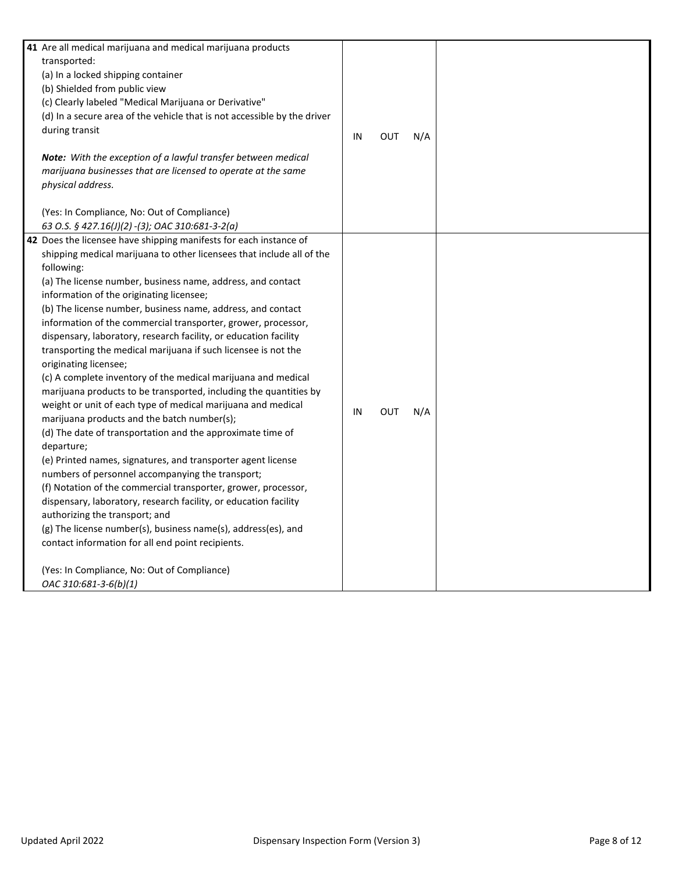| 41 Are all medical marijuana and medical marijuana products<br>transported:<br>(a) In a locked shipping container<br>(b) Shielded from public view<br>(c) Clearly labeled "Medical Marijuana or Derivative"<br>(d) In a secure area of the vehicle that is not accessible by the driver<br>during transit<br>Note: With the exception of a lawful transfer between medical<br>marijuana businesses that are licensed to operate at the same<br>physical address.<br>(Yes: In Compliance, No: Out of Compliance)<br>63 O.S. § 427.16(J)(2) -(3); OAC 310:681-3-2(a)                                                                                                                                                                                                                                                                                                                                                                                                                                                                                                                                                                                                                                                                                                                                                                                                   | IN | <b>OUT</b> | N/A |  |
|----------------------------------------------------------------------------------------------------------------------------------------------------------------------------------------------------------------------------------------------------------------------------------------------------------------------------------------------------------------------------------------------------------------------------------------------------------------------------------------------------------------------------------------------------------------------------------------------------------------------------------------------------------------------------------------------------------------------------------------------------------------------------------------------------------------------------------------------------------------------------------------------------------------------------------------------------------------------------------------------------------------------------------------------------------------------------------------------------------------------------------------------------------------------------------------------------------------------------------------------------------------------------------------------------------------------------------------------------------------------|----|------------|-----|--|
| 42 Does the licensee have shipping manifests for each instance of<br>shipping medical marijuana to other licensees that include all of the<br>following:<br>(a) The license number, business name, address, and contact<br>information of the originating licensee;<br>(b) The license number, business name, address, and contact<br>information of the commercial transporter, grower, processor,<br>dispensary, laboratory, research facility, or education facility<br>transporting the medical marijuana if such licensee is not the<br>originating licensee;<br>(c) A complete inventory of the medical marijuana and medical<br>marijuana products to be transported, including the quantities by<br>weight or unit of each type of medical marijuana and medical<br>marijuana products and the batch number(s);<br>(d) The date of transportation and the approximate time of<br>departure;<br>(e) Printed names, signatures, and transporter agent license<br>numbers of personnel accompanying the transport;<br>(f) Notation of the commercial transporter, grower, processor,<br>dispensary, laboratory, research facility, or education facility<br>authorizing the transport; and<br>(g) The license number(s), business name(s), address(es), and<br>contact information for all end point recipients.<br>(Yes: In Compliance, No: Out of Compliance) | IN | <b>OUT</b> | N/A |  |
| OAC 310:681-3-6(b)(1)                                                                                                                                                                                                                                                                                                                                                                                                                                                                                                                                                                                                                                                                                                                                                                                                                                                                                                                                                                                                                                                                                                                                                                                                                                                                                                                                                |    |            |     |  |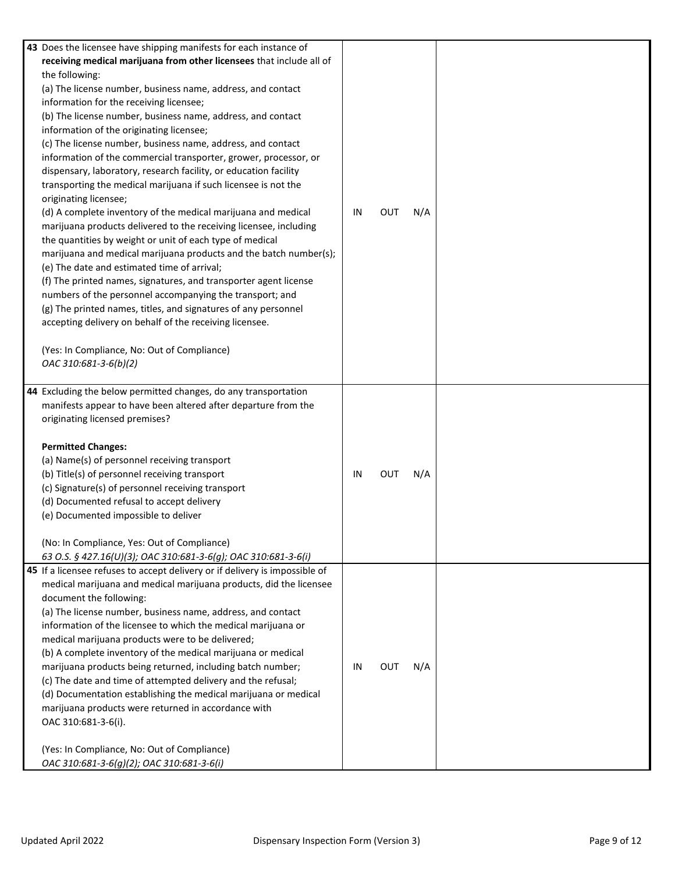| 43 Does the licensee have shipping manifests for each instance of           |    |            |     |  |
|-----------------------------------------------------------------------------|----|------------|-----|--|
| receiving medical marijuana from other licensees that include all of        |    |            |     |  |
| the following:                                                              |    |            |     |  |
| (a) The license number, business name, address, and contact                 |    |            |     |  |
| information for the receiving licensee;                                     |    |            |     |  |
| (b) The license number, business name, address, and contact                 |    |            |     |  |
| information of the originating licensee;                                    |    |            |     |  |
| (c) The license number, business name, address, and contact                 |    |            |     |  |
| information of the commercial transporter, grower, processor, or            |    |            |     |  |
| dispensary, laboratory, research facility, or education facility            |    |            |     |  |
| transporting the medical marijuana if such licensee is not the              |    |            |     |  |
| originating licensee;                                                       |    |            |     |  |
| (d) A complete inventory of the medical marijuana and medical               | IN | <b>OUT</b> | N/A |  |
| marijuana products delivered to the receiving licensee, including           |    |            |     |  |
| the quantities by weight or unit of each type of medical                    |    |            |     |  |
| marijuana and medical marijuana products and the batch number(s);           |    |            |     |  |
| (e) The date and estimated time of arrival;                                 |    |            |     |  |
| (f) The printed names, signatures, and transporter agent license            |    |            |     |  |
| numbers of the personnel accompanying the transport; and                    |    |            |     |  |
| (g) The printed names, titles, and signatures of any personnel              |    |            |     |  |
| accepting delivery on behalf of the receiving licensee.                     |    |            |     |  |
|                                                                             |    |            |     |  |
| (Yes: In Compliance, No: Out of Compliance)                                 |    |            |     |  |
| OAC 310:681-3-6(b)(2)                                                       |    |            |     |  |
|                                                                             |    |            |     |  |
| 44 Excluding the below permitted changes, do any transportation             |    |            |     |  |
| manifests appear to have been altered after departure from the              |    |            |     |  |
| originating licensed premises?                                              |    |            |     |  |
| <b>Permitted Changes:</b>                                                   |    |            |     |  |
| (a) Name(s) of personnel receiving transport                                |    |            |     |  |
| (b) Title(s) of personnel receiving transport                               | IN | OUT        | N/A |  |
| (c) Signature(s) of personnel receiving transport                           |    |            |     |  |
| (d) Documented refusal to accept delivery                                   |    |            |     |  |
| (e) Documented impossible to deliver                                        |    |            |     |  |
|                                                                             |    |            |     |  |
| (No: In Compliance, Yes: Out of Compliance)                                 |    |            |     |  |
| 63 O.S. § 427.16(U)(3); OAC 310:681-3-6(g); OAC 310:681-3-6(i)              |    |            |     |  |
| 45 If a licensee refuses to accept delivery or if delivery is impossible of |    |            |     |  |
| medical marijuana and medical marijuana products, did the licensee          |    |            |     |  |
| document the following:                                                     |    |            |     |  |
| (a) The license number, business name, address, and contact                 |    |            |     |  |
| information of the licensee to which the medical marijuana or               |    |            |     |  |
| medical marijuana products were to be delivered;                            |    |            |     |  |
| (b) A complete inventory of the medical marijuana or medical                |    |            |     |  |
| marijuana products being returned, including batch number;                  | IN | <b>OUT</b> | N/A |  |
| (c) The date and time of attempted delivery and the refusal;                |    |            |     |  |
| (d) Documentation establishing the medical marijuana or medical             |    |            |     |  |
| marijuana products were returned in accordance with                         |    |            |     |  |
| OAC 310:681-3-6(i).                                                         |    |            |     |  |
|                                                                             |    |            |     |  |
| (Yes: In Compliance, No: Out of Compliance)                                 |    |            |     |  |
| OAC 310:681-3-6(g)(2); OAC 310:681-3-6(i)                                   |    |            |     |  |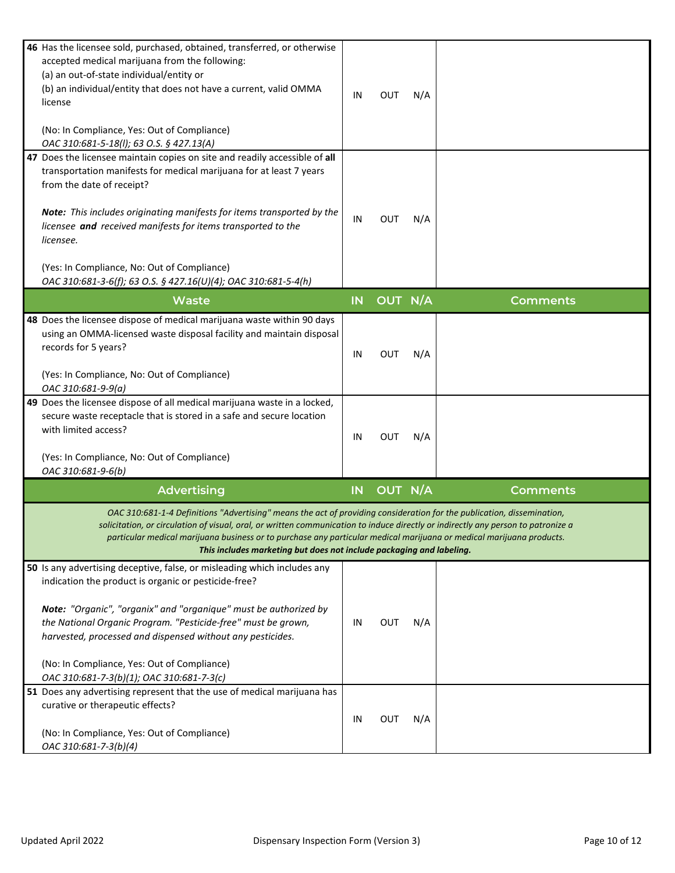| 46 Has the licensee sold, purchased, obtained, transferred, or otherwise<br>accepted medical marijuana from the following:<br>(a) an out-of-state individual/entity or<br>(b) an individual/entity that does not have a current, valid OMMA<br>license<br>(No: In Compliance, Yes: Out of Compliance)<br>OAC 310:681-5-18(I); 63 O.S. § 427.13(A)                                                                                                                                                                                                                                                                      | IN        | <b>OUT</b>        | N/A        |                 |
|------------------------------------------------------------------------------------------------------------------------------------------------------------------------------------------------------------------------------------------------------------------------------------------------------------------------------------------------------------------------------------------------------------------------------------------------------------------------------------------------------------------------------------------------------------------------------------------------------------------------|-----------|-------------------|------------|-----------------|
| 47 Does the licensee maintain copies on site and readily accessible of all<br>transportation manifests for medical marijuana for at least 7 years<br>from the date of receipt?<br>Note: This includes originating manifests for items transported by the<br>licensee and received manifests for items transported to the<br>licensee.<br>(Yes: In Compliance, No: Out of Compliance)                                                                                                                                                                                                                                   | IN        | <b>OUT</b>        | N/A        |                 |
| OAC 310:681-3-6(f); 63 O.S. § 427.16(U)(4); OAC 310:681-5-4(h)                                                                                                                                                                                                                                                                                                                                                                                                                                                                                                                                                         |           |                   |            |                 |
| <b>Waste</b>                                                                                                                                                                                                                                                                                                                                                                                                                                                                                                                                                                                                           | IN        | OUT N/A           |            | <b>Comments</b> |
| 48 Does the licensee dispose of medical marijuana waste within 90 days<br>using an OMMA-licensed waste disposal facility and maintain disposal<br>records for 5 years?<br>(Yes: In Compliance, No: Out of Compliance)<br>OAC 310:681-9-9(a)                                                                                                                                                                                                                                                                                                                                                                            | IN        | <b>OUT</b>        | N/A        |                 |
| 49 Does the licensee dispose of all medical marijuana waste in a locked,<br>secure waste receptacle that is stored in a safe and secure location<br>with limited access?<br>(Yes: In Compliance, No: Out of Compliance)<br>OAC 310:681-9-6(b)                                                                                                                                                                                                                                                                                                                                                                          | IN        | <b>OUT</b>        | N/A        |                 |
| <b>Advertising</b>                                                                                                                                                                                                                                                                                                                                                                                                                                                                                                                                                                                                     | <b>IN</b> | OUT N/A           |            | <b>Comments</b> |
| OAC 310:681-1-4 Definitions "Advertising" means the act of providing consideration for the publication, dissemination,<br>solicitation, or circulation of visual, oral, or written communication to induce directly or indirectly any person to patronize a<br>particular medical marijuana business or to purchase any particular medical marijuana or medical marijuana products.<br>This includes marketing but does not include packaging and labeling.                                                                                                                                                            |           |                   |            |                 |
| 50 Is any advertising deceptive, false, or misleading which includes any<br>indication the product is organic or pesticide-free?<br>Note: "Organic", "organix" and "organique" must be authorized by<br>the National Organic Program. "Pesticide-free" must be grown,<br>harvested, processed and dispensed without any pesticides.<br>(No: In Compliance, Yes: Out of Compliance)<br>OAC 310:681-7-3(b)(1); OAC 310:681-7-3(c)<br>51 Does any advertising represent that the use of medical marijuana has<br>curative or therapeutic effects?<br>(No: In Compliance, Yes: Out of Compliance)<br>OAC 310:681-7-3(b)(4) | IN<br>IN  | <b>OUT</b><br>Ουτ | N/A<br>N/A |                 |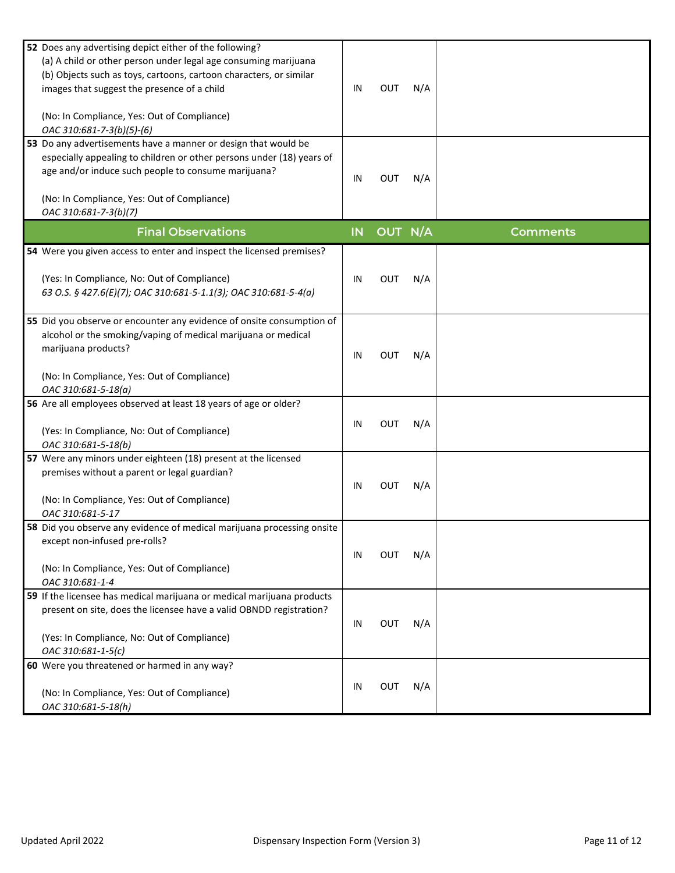| 52 Does any advertising depict either of the following?<br>(a) A child or other person under legal age consuming marijuana<br>(b) Objects such as toys, cartoons, cartoon characters, or similar<br>images that suggest the presence of a child<br>(No: In Compliance, Yes: Out of Compliance)<br>OAC 310:681-7-3(b)(5)-(6)<br>53 Do any advertisements have a manner or design that would be | IN | <b>OUT</b> | N/A |                 |
|-----------------------------------------------------------------------------------------------------------------------------------------------------------------------------------------------------------------------------------------------------------------------------------------------------------------------------------------------------------------------------------------------|----|------------|-----|-----------------|
| especially appealing to children or other persons under (18) years of<br>age and/or induce such people to consume marijuana?<br>(No: In Compliance, Yes: Out of Compliance)<br>OAC 310:681-7-3(b)(7)                                                                                                                                                                                          | IN | <b>OUT</b> | N/A |                 |
| <b>Final Observations</b>                                                                                                                                                                                                                                                                                                                                                                     | IN | OUT N/A    |     | <b>Comments</b> |
| 54 Were you given access to enter and inspect the licensed premises?<br>(Yes: In Compliance, No: Out of Compliance)<br>63 O.S. § 427.6(E)(7); OAC 310:681-5-1.1(3); OAC 310:681-5-4(a)                                                                                                                                                                                                        | IN | <b>OUT</b> | N/A |                 |
| 55 Did you observe or encounter any evidence of onsite consumption of<br>alcohol or the smoking/vaping of medical marijuana or medical<br>marijuana products?<br>(No: In Compliance, Yes: Out of Compliance)<br>OAC 310:681-5-18(a)                                                                                                                                                           | IN | <b>OUT</b> | N/A |                 |
| 56 Are all employees observed at least 18 years of age or older?<br>(Yes: In Compliance, No: Out of Compliance)<br>OAC 310:681-5-18(b)                                                                                                                                                                                                                                                        | IN | <b>OUT</b> | N/A |                 |
| 57 Were any minors under eighteen (18) present at the licensed<br>premises without a parent or legal guardian?<br>(No: In Compliance, Yes: Out of Compliance)<br>OAC 310:681-5-17                                                                                                                                                                                                             | IN | OUT        | N/A |                 |
| 58 Did you observe any evidence of medical marijuana processing onsite<br>except non-infused pre-rolls?<br>(No: In Compliance, Yes: Out of Compliance)<br>OAC 310:681-1-4                                                                                                                                                                                                                     | IN | <b>OUT</b> | N/A |                 |
| 59 If the licensee has medical marijuana or medical marijuana products<br>present on site, does the licensee have a valid OBNDD registration?<br>(Yes: In Compliance, No: Out of Compliance)<br>OAC 310:681-1-5(c)                                                                                                                                                                            | IN | <b>OUT</b> | N/A |                 |
| 60 Were you threatened or harmed in any way?<br>(No: In Compliance, Yes: Out of Compliance)<br>OAC 310:681-5-18(h)                                                                                                                                                                                                                                                                            | IN | OUT        | N/A |                 |